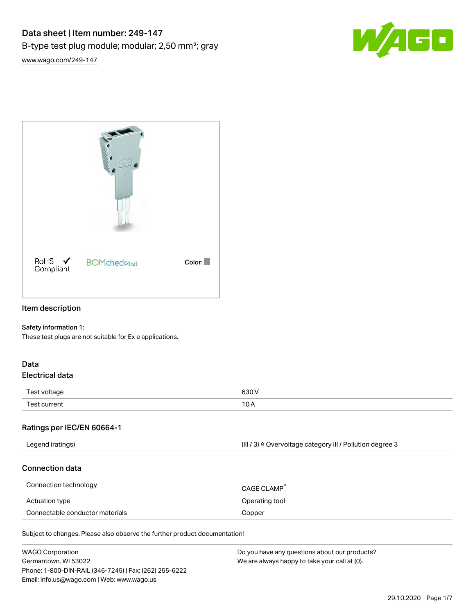



# Item description

#### Safety information 1:

These test plugs are not suitable for Ex e applications.

#### Data Electrical data

| Test voltage | 0.201<br>วงบ v<br>$  -$ |
|--------------|-------------------------|
| Test current | 10<br>-<br>. U.         |

#### Ratings per IEC/EN 60664-1

| (III / 3) ≙ Overvoltage category III / Pollution degree 3<br>Legend (ratings) |
|-------------------------------------------------------------------------------|
|-------------------------------------------------------------------------------|

#### Connection data

| Connection technology           | CAGE CI AMP <sup>®</sup> |
|---------------------------------|--------------------------|
| Actuation type                  | Operating tool           |
| Connectable conductor materials | Copper                   |

Subject to changes. Please also observe the further product documentation!

| <b>WAGO Corporation</b>                                | Do you have any questions about our products? |
|--------------------------------------------------------|-----------------------------------------------|
| Germantown, WI 53022                                   | We are always happy to take your call at {0}. |
| Phone: 1-800-DIN-RAIL (346-7245)   Fax: (262) 255-6222 |                                               |
| Email: info.us@wago.com   Web: www.wago.us             |                                               |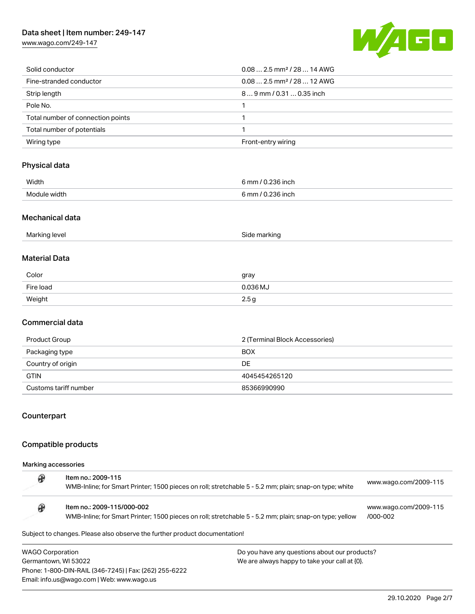# Data sheet | Item number: 249-147

[www.wago.com/249-147](http://www.wago.com/249-147)



| Solid conductor                   | $0.082.5$ mm <sup>2</sup> / 28  14 AWG  |
|-----------------------------------|-----------------------------------------|
| Fine-stranded conductor           | $0.08$ 2.5 mm <sup>2</sup> / 28  12 AWG |
| Strip length                      | 89 mm / 0.31  0.35 inch                 |
| Pole No.                          |                                         |
| Total number of connection points |                                         |
| Total number of potentials        |                                         |
| Wiring type                       | Front-entry wiring                      |

# Physical data

| Width<br>$  -$ | 6 mm / 0.236 inch |
|----------------|-------------------|
| Module width   | ).236 inch        |
|                | 6 mm / 0.         |

#### Mechanical data

| 11-<br>SINF<br>$1 \mapsto 1$<br>'iarkiric<br>ividi<br><b>KILI</b><br>-<br>$\sim$ |  |
|----------------------------------------------------------------------------------|--|
|----------------------------------------------------------------------------------|--|

#### Material Data

| Color     | gray             |
|-----------|------------------|
| Fire load | 0.036 MJ         |
| Weight    | 2.5 <sub>g</sub> |

## Commercial data

| Product Group         | 2 (Terminal Block Accessories) |
|-----------------------|--------------------------------|
| Packaging type        | <b>BOX</b>                     |
| Country of origin     | DE                             |
| <b>GTIN</b>           | 4045454265120                  |
| Customs tariff number | 85366990990                    |

#### Counterpart

## Compatible products

Email: info.us@wago.com | Web: www.wago.us

Marking accessories

|                         | Item no.: 2009-115<br>WMB-Inline; for Smart Printer; 1500 pieces on roll; stretchable 5 - 5.2 mm; plain; snap-on type; white          |                                               | www.wago.com/2009-115             |
|-------------------------|---------------------------------------------------------------------------------------------------------------------------------------|-----------------------------------------------|-----------------------------------|
|                         | Item no.: 2009-115/000-002<br>WMB-Inline; for Smart Printer; 1500 pieces on roll; stretchable 5 - 5.2 mm; plain; snap-on type; yellow |                                               | www.wago.com/2009-115<br>/000-002 |
|                         | Subject to changes. Please also observe the further product documentation!                                                            |                                               |                                   |
| <b>WAGO Corporation</b> |                                                                                                                                       | Do you have any questions about our products? |                                   |
| Germantown, WI 53022    |                                                                                                                                       | We are always happy to take your call at {0}. |                                   |
|                         | Phone: 1-800-DIN-RAIL (346-7245)   Fax: (262) 255-6222                                                                                |                                               |                                   |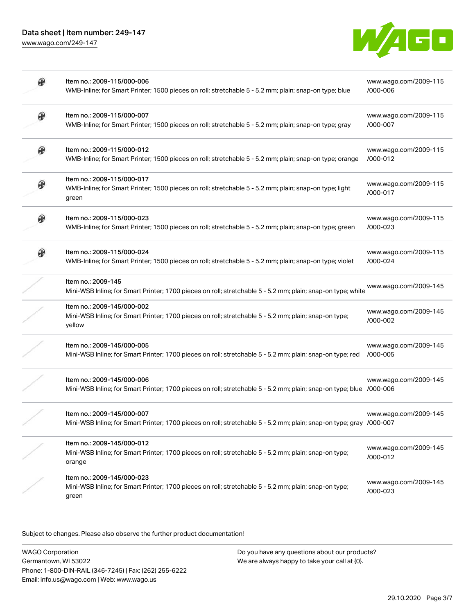[www.wago.com/249-147](http://www.wago.com/249-147)



| ⊛ | Item no.: 2009-115/000-006<br>WMB-Inline; for Smart Printer; 1500 pieces on roll; stretchable 5 - 5.2 mm; plain; snap-on type; blue               | www.wago.com/2009-115<br>/000-006 |
|---|---------------------------------------------------------------------------------------------------------------------------------------------------|-----------------------------------|
| ⊕ | Item no.: 2009-115/000-007<br>WMB-Inline; for Smart Printer; 1500 pieces on roll; stretchable 5 - 5.2 mm; plain; snap-on type; gray               | www.wago.com/2009-115<br>/000-007 |
| ⊛ | Item no.: 2009-115/000-012<br>WMB-Inline; for Smart Printer; 1500 pieces on roll; stretchable 5 - 5.2 mm; plain; snap-on type; orange             | www.wago.com/2009-115<br>/000-012 |
| ⊕ | Item no.: 2009-115/000-017<br>WMB-Inline; for Smart Printer; 1500 pieces on roll; stretchable 5 - 5.2 mm; plain; snap-on type; light<br>green     | www.wago.com/2009-115<br>/000-017 |
| ⊛ | Item no.: 2009-115/000-023<br>WMB-Inline; for Smart Printer; 1500 pieces on roll; stretchable 5 - 5.2 mm; plain; snap-on type; green              | www.wago.com/2009-115<br>/000-023 |
| ⊛ | Item no.: 2009-115/000-024<br>WMB-Inline; for Smart Printer; 1500 pieces on roll; stretchable 5 - 5.2 mm; plain; snap-on type; violet             | www.wago.com/2009-115<br>/000-024 |
|   | Item no.: 2009-145<br>Mini-WSB Inline; for Smart Printer; 1700 pieces on roll; stretchable 5 - 5.2 mm; plain; snap-on type; white                 | www.wago.com/2009-145             |
|   | Item no.: 2009-145/000-002<br>Mini-WSB Inline; for Smart Printer; 1700 pieces on roll; stretchable 5 - 5.2 mm; plain; snap-on type;<br>yellow     | www.wago.com/2009-145<br>/000-002 |
|   | Item no.: 2009-145/000-005<br>Mini-WSB Inline; for Smart Printer; 1700 pieces on roll; stretchable 5 - 5.2 mm; plain; snap-on type; red           | www.wago.com/2009-145<br>/000-005 |
|   | Item no.: 2009-145/000-006<br>Mini-WSB Inline; for Smart Printer; 1700 pieces on roll; stretchable 5 - 5.2 mm; plain; snap-on type; blue /000-006 | www.wago.com/2009-145             |
|   | Item no.: 2009-145/000-007<br>Mini-WSB Inline; for Smart Printer; 1700 pieces on roll; stretchable 5 - 5.2 mm; plain; snap-on type; gray /000-007 | www.wago.com/2009-145             |
|   | Item no.: 2009-145/000-012<br>Mini-WSB Inline; for Smart Printer; 1700 pieces on roll; stretchable 5 - 5.2 mm; plain; snap-on type;<br>orange     | www.wago.com/2009-145<br>/000-012 |
|   | Item no.: 2009-145/000-023<br>Mini-WSB Inline; for Smart Printer; 1700 pieces on roll; stretchable 5 - 5.2 mm; plain; snap-on type;<br>green      | www.wago.com/2009-145<br>/000-023 |

Subject to changes. Please also observe the further product documentation!

WAGO Corporation Germantown, WI 53022 Phone: 1-800-DIN-RAIL (346-7245) | Fax: (262) 255-6222 Email: info.us@wago.com | Web: www.wago.us

Do you have any questions about our products? We are always happy to take your call at {0}.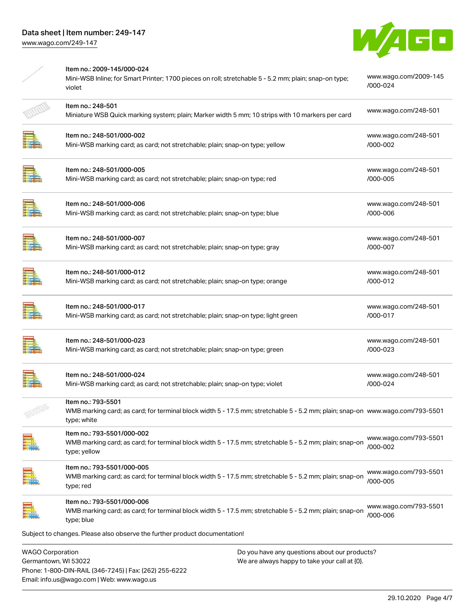Phone: 1-800-DIN-RAIL (346-7245) | Fax: (262) 255-6222

Email: info.us@wago.com | Web: www.wago.us



|                                                 | Item no.: 2009-145/000-024<br>Mini-WSB Inline; for Smart Printer; 1700 pieces on roll; stretchable 5 - 5.2 mm; plain; snap-on type;<br>violet                       |                                                                                                | www.wago.com/2009-145<br>/000-024 |
|-------------------------------------------------|---------------------------------------------------------------------------------------------------------------------------------------------------------------------|------------------------------------------------------------------------------------------------|-----------------------------------|
|                                                 | Item no.: 248-501<br>Miniature WSB Quick marking system; plain; Marker width 5 mm; 10 strips with 10 markers per card                                               |                                                                                                | www.wago.com/248-501              |
|                                                 | Item no.: 248-501/000-002<br>Mini-WSB marking card; as card; not stretchable; plain; snap-on type; yellow                                                           |                                                                                                | www.wago.com/248-501<br>/000-002  |
|                                                 | Item no.: 248-501/000-005<br>Mini-WSB marking card; as card; not stretchable; plain; snap-on type; red                                                              |                                                                                                | www.wago.com/248-501<br>/000-005  |
|                                                 | Item no.: 248-501/000-006<br>Mini-WSB marking card; as card; not stretchable; plain; snap-on type; blue                                                             |                                                                                                | www.wago.com/248-501<br>/000-006  |
|                                                 | Item no.: 248-501/000-007<br>Mini-WSB marking card; as card; not stretchable; plain; snap-on type; gray                                                             |                                                                                                | www.wago.com/248-501<br>/000-007  |
|                                                 | Item no.: 248-501/000-012<br>Mini-WSB marking card; as card; not stretchable; plain; snap-on type; orange                                                           |                                                                                                | www.wago.com/248-501<br>/000-012  |
|                                                 | Item no.: 248-501/000-017<br>Mini-WSB marking card; as card; not stretchable; plain; snap-on type; light green                                                      |                                                                                                | www.wago.com/248-501<br>/000-017  |
|                                                 | Item no.: 248-501/000-023<br>Mini-WSB marking card; as card; not stretchable; plain; snap-on type; green                                                            |                                                                                                | www.wago.com/248-501<br>/000-023  |
|                                                 | Item no.: 248-501/000-024<br>Mini-WSB marking card; as card; not stretchable; plain; snap-on type; violet                                                           |                                                                                                | www.wago.com/248-501<br>/000-024  |
|                                                 | Item no.: 793-5501<br>WMB marking card; as card; for terminal block width 5 - 17.5 mm; stretchable 5 - 5.2 mm; plain; snap-on  www.wago.com/793-5501<br>type; white |                                                                                                |                                   |
|                                                 | Item no.: 793-5501/000-002<br>WMB marking card; as card; for terminal block width 5 - 17.5 mm; stretchable 5 - 5.2 mm; plain; snap-on<br>type; yellow               |                                                                                                | www.wago.com/793-5501<br>/000-002 |
|                                                 | Item no.: 793-5501/000-005<br>WMB marking card; as card; for terminal block width 5 - 17.5 mm; stretchable 5 - 5.2 mm; plain; snap-on<br>type; red                  |                                                                                                | www.wago.com/793-5501<br>/000-005 |
|                                                 | Item no.: 793-5501/000-006<br>WMB marking card; as card; for terminal block width 5 - 17.5 mm; stretchable 5 - 5.2 mm; plain; snap-on<br>type; blue                 |                                                                                                | www.wago.com/793-5501<br>/000-006 |
|                                                 | Subject to changes. Please also observe the further product documentation!                                                                                          |                                                                                                |                                   |
| <b>WAGO Corporation</b><br>Germantown, WI 53022 |                                                                                                                                                                     | Do you have any questions about our products?<br>We are always happy to take your call at {0}. |                                   |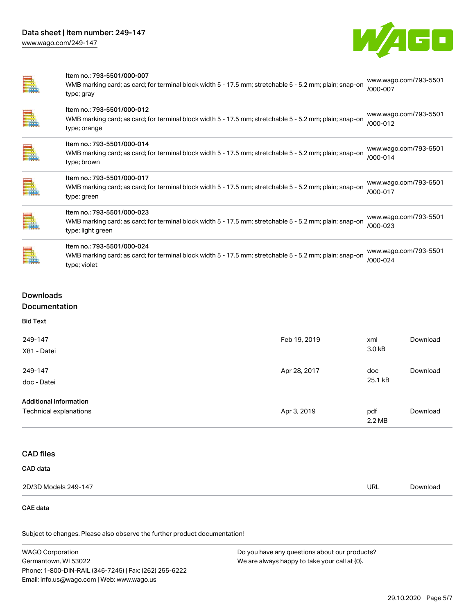# Data sheet | Item number: 249-147

[www.wago.com/249-147](http://www.wago.com/249-147)



| Ē. | Item no.: 793-5501/000-007<br>WMB marking card; as card; for terminal block width 5 - 17.5 mm; stretchable 5 - 5.2 mm; plain; snap-on<br>type; gray        | www.wago.com/793-5501<br>/000-007 |
|----|------------------------------------------------------------------------------------------------------------------------------------------------------------|-----------------------------------|
| Ē. | Item no.: 793-5501/000-012<br>WMB marking card; as card; for terminal block width 5 - 17.5 mm; stretchable 5 - 5.2 mm; plain; snap-on<br>type; orange      | www.wago.com/793-5501<br>/000-012 |
|    | Item no.: 793-5501/000-014<br>WMB marking card; as card; for terminal block width 5 - 17.5 mm; stretchable 5 - 5.2 mm; plain; snap-on<br>type; brown       | www.wago.com/793-5501<br>/000-014 |
| E. | Item no.: 793-5501/000-017<br>WMB marking card; as card; for terminal block width 5 - 17.5 mm; stretchable 5 - 5.2 mm; plain; snap-on<br>type; green       | www.wago.com/793-5501<br>/000-017 |
|    | Item no.: 793-5501/000-023<br>WMB marking card; as card; for terminal block width 5 - 17.5 mm; stretchable 5 - 5.2 mm; plain; snap-on<br>type; light green | www.wago.com/793-5501<br>/000-023 |
|    | Item no.: 793-5501/000-024<br>WMB marking card; as card; for terminal block width 5 - 17.5 mm; stretchable 5 - 5.2 mm; plain; snap-on<br>type; violet      | www.wago.com/793-5501<br>/000-024 |

# Downloads Documentation

| 249-147                       | Feb 19, 2019 | xml<br>3.0 kB | Download |
|-------------------------------|--------------|---------------|----------|
| X81 - Datei                   |              |               |          |
| 249-147                       | Apr 28, 2017 | doc           | Download |
| doc - Datei                   |              | 25.1 kB       |          |
| <b>Additional Information</b> |              |               |          |
| Technical explanations        | Apr 3, 2019  | pdf           | Download |
|                               |              | 2.2 MB        |          |

# CAD files

| <b>CAD</b> data |
|-----------------|
|-----------------|

| 2D/3D Models 249-147 | URL<br>$\sim$ $\sim$ | Download |
|----------------------|----------------------|----------|

#### CAE data

Subject to changes. Please also observe the further product documentation!

WAGO Corporation Germantown, WI 53022 Phone: 1-800-DIN-RAIL (346-7245) | Fax: (262) 255-6222 Email: info.us@wago.com | Web: www.wago.us Do you have any questions about our products? We are always happy to take your call at {0}.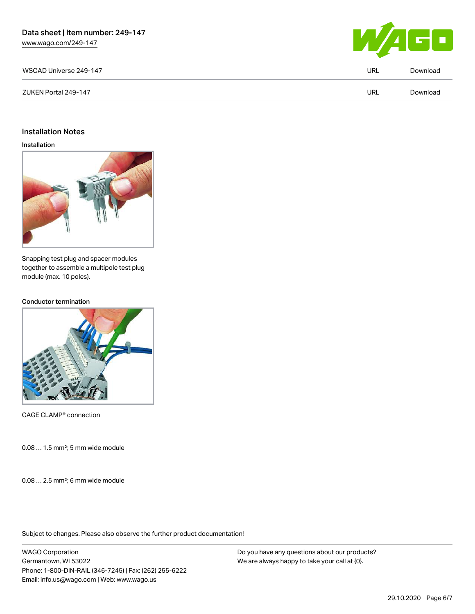[www.wago.com/249-147](http://www.wago.com/249-147)



| WSCAD Universe 249-147 |     | Download |
|------------------------|-----|----------|
| ZUKEN Portal 249-147   | URL | Download |
|                        |     |          |

#### Installation Notes

#### Installation



Snapping test plug and spacer modules together to assemble a multipole test plug module (max. 10 poles).

#### Conductor termination



CAGE CLAMP® connection

0.08 … 1.5 mm²; 5 mm wide module

0.08 … 2.5 mm²; 6 mm wide module

Subject to changes. Please also observe the further product documentation!

WAGO Corporation Germantown, WI 53022 Phone: 1-800-DIN-RAIL (346-7245) | Fax: (262) 255-6222 Email: info.us@wago.com | Web: www.wago.us

Do you have any questions about our products? We are always happy to take your call at {0}.